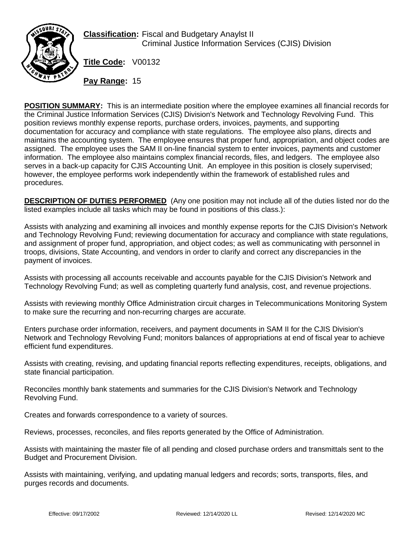

**Classification:** Fiscal and Budgetary Anaylst II Criminal Justice Information Services (CJIS) Division

**Title Code:** V00132

**Pay Range:** 15

**POSITION SUMMARY:** This is an intermediate position where the employee examines all financial records for the Criminal Justice Information Services (CJIS) Division's Network and Technology Revolving Fund. This position reviews monthly expense reports, purchase orders, invoices, payments, and supporting documentation for accuracy and compliance with state regulations. The employee also plans, directs and maintains the accounting system. The employee ensures that proper fund, appropriation, and object codes are assigned. The employee uses the SAM II on-line financial system to enter invoices, payments and customer information. The employee also maintains complex financial records, files, and ledgers. The employee also serves in a back-up capacity for CJIS Accounting Unit. An employee in this position is closely supervised; however, the employee performs work independently within the framework of established rules and procedures.

**DESCRIPTION OF DUTIES PERFORMED** (Any one position may not include all of the duties listed nor do the listed examples include all tasks which may be found in positions of this class.):

Assists with analyzing and examining all invoices and monthly expense reports for the CJIS Division's Network and Technology Revolving Fund; reviewing documentation for accuracy and compliance with state regulations, and assignment of proper fund, appropriation, and object codes; as well as communicating with personnel in troops, divisions, State Accounting, and vendors in order to clarify and correct any discrepancies in the payment of invoices.

Assists with processing all accounts receivable and accounts payable for the CJIS Division's Network and Technology Revolving Fund; as well as completing quarterly fund analysis, cost, and revenue projections.

Assists with reviewing monthly Office Administration circuit charges in Telecommunications Monitoring System to make sure the recurring and non-recurring charges are accurate.

Enters purchase order information, receivers, and payment documents in SAM II for the CJIS Division's Network and Technology Revolving Fund; monitors balances of appropriations at end of fiscal year to achieve efficient fund expenditures.

Assists with creating, revising, and updating financial reports reflecting expenditures, receipts, obligations, and state financial participation.

Reconciles monthly bank statements and summaries for the CJIS Division's Network and Technology Revolving Fund.

Creates and forwards correspondence to a variety of sources.

Reviews, processes, reconciles, and files reports generated by the Office of Administration.

Assists with maintaining the master file of all pending and closed purchase orders and transmittals sent to the Budget and Procurement Division.

Assists with maintaining, verifying, and updating manual ledgers and records; sorts, transports, files, and purges records and documents.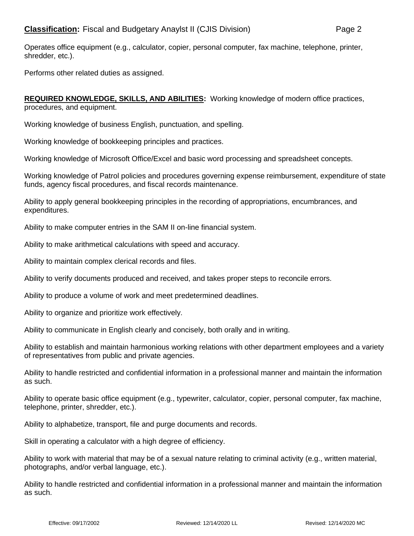Operates office equipment (e.g., calculator, copier, personal computer, fax machine, telephone, printer, shredder, etc.).

Performs other related duties as assigned.

**REQUIRED KNOWLEDGE, SKILLS, AND ABILITIES:** Working knowledge of modern office practices, procedures, and equipment.

Working knowledge of business English, punctuation, and spelling.

Working knowledge of bookkeeping principles and practices.

Working knowledge of Microsoft Office/Excel and basic word processing and spreadsheet concepts.

Working knowledge of Patrol policies and procedures governing expense reimbursement, expenditure of state funds, agency fiscal procedures, and fiscal records maintenance.

Ability to apply general bookkeeping principles in the recording of appropriations, encumbrances, and expenditures.

Ability to make computer entries in the SAM II on-line financial system.

Ability to make arithmetical calculations with speed and accuracy.

Ability to maintain complex clerical records and files.

Ability to verify documents produced and received, and takes proper steps to reconcile errors.

Ability to produce a volume of work and meet predetermined deadlines.

Ability to organize and prioritize work effectively.

Ability to communicate in English clearly and concisely, both orally and in writing.

Ability to establish and maintain harmonious working relations with other department employees and a variety of representatives from public and private agencies.

Ability to handle restricted and confidential information in a professional manner and maintain the information as such.

Ability to operate basic office equipment (e.g., typewriter, calculator, copier, personal computer, fax machine, telephone, printer, shredder, etc.).

Ability to alphabetize, transport, file and purge documents and records.

Skill in operating a calculator with a high degree of efficiency.

Ability to work with material that may be of a sexual nature relating to criminal activity (e.g., written material, photographs, and/or verbal language, etc.).

Ability to handle restricted and confidential information in a professional manner and maintain the information as such.